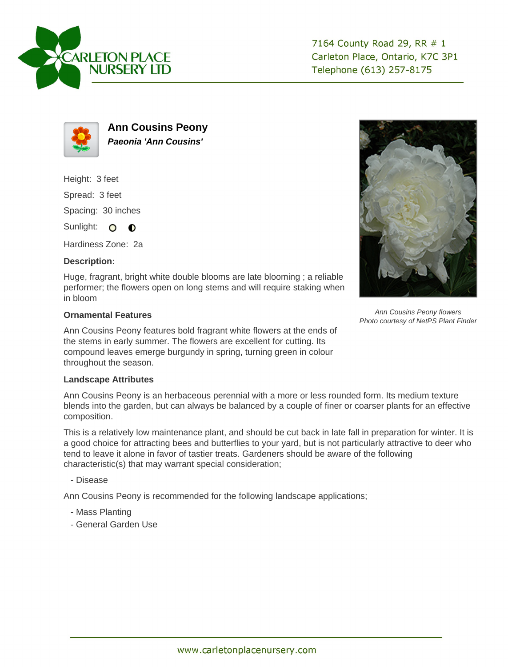



**Ann Cousins Peony Paeonia 'Ann Cousins'**

Height: 3 feet

Spread: 3 feet

Spacing: 30 inches

Sunlight: O **O** 

Hardiness Zone: 2a

## **Description:**

Huge, fragrant, bright white double blooms are late blooming ; a reliable performer; the flowers open on long stems and will require staking when in bloom

## **Ornamental Features**

Ann Cousins Peony features bold fragrant white flowers at the ends of the stems in early summer. The flowers are excellent for cutting. Its compound leaves emerge burgundy in spring, turning green in colour throughout the season.



Ann Cousins Peony flowers Photo courtesy of NetPS Plant Finder

## **Landscape Attributes**

Ann Cousins Peony is an herbaceous perennial with a more or less rounded form. Its medium texture blends into the garden, but can always be balanced by a couple of finer or coarser plants for an effective composition.

This is a relatively low maintenance plant, and should be cut back in late fall in preparation for winter. It is a good choice for attracting bees and butterflies to your yard, but is not particularly attractive to deer who tend to leave it alone in favor of tastier treats. Gardeners should be aware of the following characteristic(s) that may warrant special consideration;

- Disease

Ann Cousins Peony is recommended for the following landscape applications;

- Mass Planting
- General Garden Use